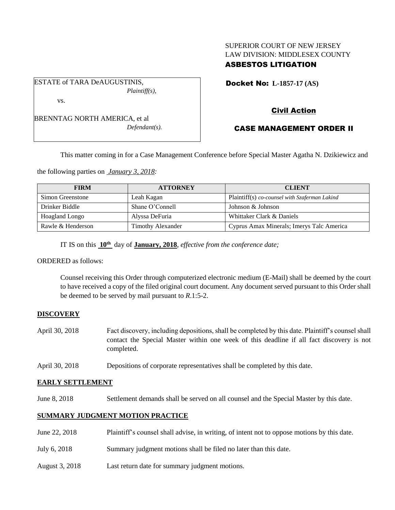## SUPERIOR COURT OF NEW JERSEY LAW DIVISION: MIDDLESEX COUNTY ASBESTOS LITIGATION

Docket No: **L-1857-17 (AS)** 

BRENNTAG NORTH AMERICA, et al *Defendant(s).*

*Plaintiff(s),*

ESTATE of TARA DeAUGUSTINIS,

vs.

# Civil Action

# CASE MANAGEMENT ORDER II

This matter coming in for a Case Management Conference before Special Master Agatha N. Dzikiewicz and

the following parties on *January 3, 2018:*

| <b>FIRM</b>           | <b>ATTORNEY</b>          | <b>CLIENT</b>                                 |
|-----------------------|--------------------------|-----------------------------------------------|
| Simon Greenstone      | Leah Kagan               | Plaintiff(s) co-counsel with Szaferman Lakind |
| Drinker Biddle        | Shane O'Connell          | Johnson & Johnson                             |
| <b>Hoagland Longo</b> | Alyssa DeFuria           | Whittaker Clark & Daniels                     |
| Rawle & Henderson     | <b>Timothy Alexander</b> | Cyprus Amax Minerals; Imerys Talc America     |

IT IS on this **10th** day of **January, 2018**, *effective from the conference date;*

ORDERED as follows:

Counsel receiving this Order through computerized electronic medium (E-Mail) shall be deemed by the court to have received a copy of the filed original court document. Any document served pursuant to this Order shall be deemed to be served by mail pursuant to *R*.1:5-2.

## **DISCOVERY**

- April 30, 2018 Fact discovery, including depositions, shall be completed by this date. Plaintiff's counsel shall contact the Special Master within one week of this deadline if all fact discovery is not completed.
- April 30, 2018 Depositions of corporate representatives shall be completed by this date.

## **EARLY SETTLEMENT**

June 8, 2018 Settlement demands shall be served on all counsel and the Special Master by this date.

## **SUMMARY JUDGMENT MOTION PRACTICE**

| June 22, 2018  | Plaintiff's counsel shall advise, in writing, of intent not to oppose motions by this date. |
|----------------|---------------------------------------------------------------------------------------------|
| July 6, 2018   | Summary judgment motions shall be filed no later than this date.                            |
| August 3, 2018 | Last return date for summary judgment motions.                                              |